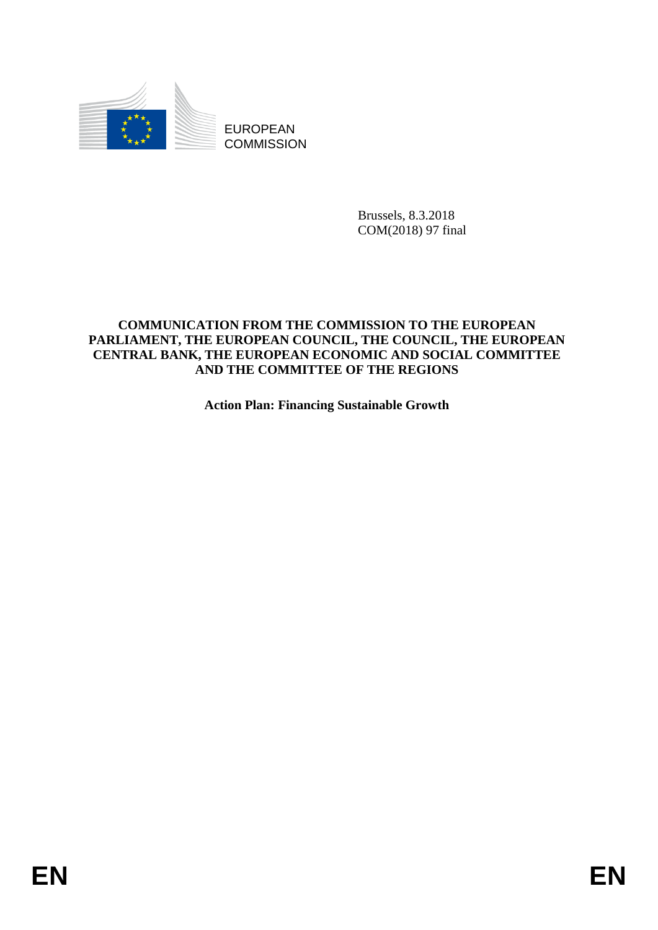

EUROPEAN **COMMISSION** 

> Brussels, 8.3.2018 COM(2018) 97 final

### **COMMUNICATION FROM THE COMMISSION TO THE EUROPEAN PARLIAMENT, THE EUROPEAN COUNCIL, THE COUNCIL, THE EUROPEAN CENTRAL BANK, THE EUROPEAN ECONOMIC AND SOCIAL COMMITTEE AND THE COMMITTEE OF THE REGIONS**

**Action Plan: Financing Sustainable Growth**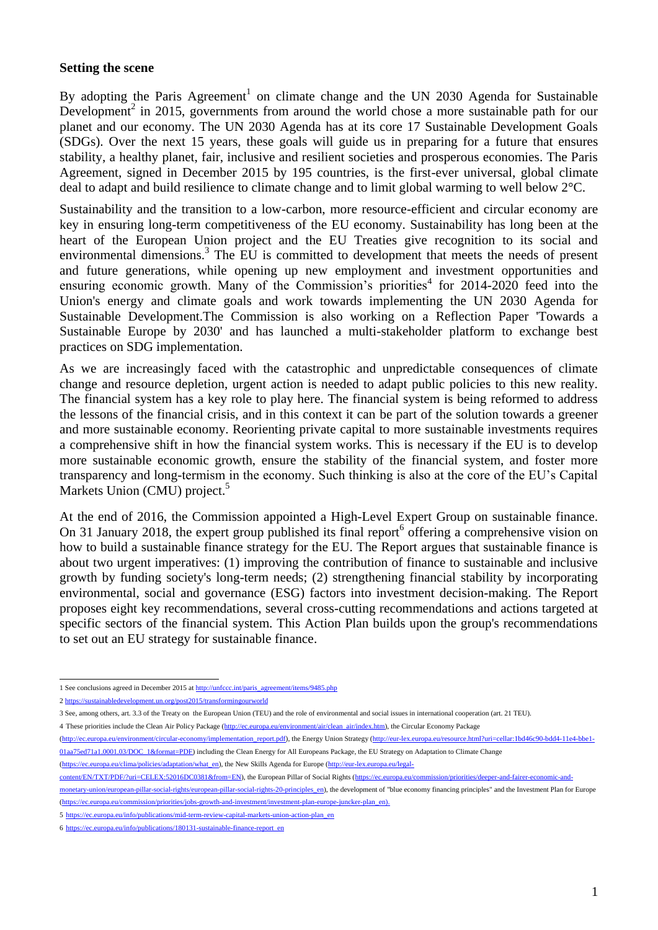#### **Setting the scene**

By adopting the Paris Agreement<sup>1</sup> on climate change and the UN 2030 Agenda for Sustainable Development<sup>2</sup> in 2015, governments from around the world chose a more sustainable path for our planet and our economy. The UN 2030 Agenda has at its core 17 Sustainable Development Goals (SDGs). Over the next 15 years, these goals will guide us in preparing for a future that ensures stability, a healthy planet, fair, inclusive and resilient societies and prosperous economies. The Paris Agreement, signed in December 2015 by 195 countries, is the first-ever universal, global climate deal to adapt and build resilience to climate change and to limit global warming to well below 2°C.

Sustainability and the transition to a low-carbon, more resource-efficient and circular economy are key in ensuring long-term competitiveness of the EU economy. Sustainability has long been at the heart of the European Union project and the EU Treaties give recognition to its social and environmental dimensions.<sup>3</sup> The EU is committed to development that meets the needs of present and future generations, while opening up new employment and investment opportunities and ensuring economic growth. Many of the Commission's priorities<sup>4</sup> for  $2014-2020$  feed into the Union's energy and climate goals and work towards implementing the UN 2030 Agenda for Sustainable Development.The Commission is also working on a Reflection Paper 'Towards a Sustainable Europe by 2030' and has launched a multi-stakeholder platform to exchange best practices on SDG implementation.

As we are increasingly faced with the catastrophic and unpredictable consequences of climate change and resource depletion, urgent action is needed to adapt public policies to this new reality. The financial system has a key role to play here. The financial system is being reformed to address the lessons of the financial crisis, and in this context it can be part of the solution towards a greener and more sustainable economy. Reorienting private capital to more sustainable investments requires a comprehensive shift in how the financial system works. This is necessary if the EU is to develop more sustainable economic growth, ensure the stability of the financial system, and foster more transparency and long-termism in the economy. Such thinking is also at the core of the EU's Capital Markets Union (CMU) project.<sup>5</sup>

At the end of 2016, the Commission appointed a High-Level Expert Group on sustainable finance. On 31 January 2018, the expert group published its final report<sup>6</sup> offering a comprehensive vision on how to build a sustainable finance strategy for the EU. The Report argues that sustainable finance is about two urgent imperatives: (1) improving the contribution of finance to sustainable and inclusive growth by funding society's long-term needs; (2) strengthening financial stability by incorporating environmental, social and governance (ESG) factors into investment decision-making. The Report proposes eight key recommendations, several cross-cutting recommendations and actions targeted at specific sectors of the financial system. This Action Plan builds upon the group's recommendations to set out an EU strategy for sustainable finance.

- [\(http://ec.europa.eu/environment/circular-economy/implementation\\_report.pdf\),](http://ec.europa.eu/environment/circular-economy/implementation_report.pdf) the Energy Union Strategy [\(http://eur-lex.europa.eu/resource.html?uri=cellar:1bd46c90-bdd4-11e4-bbe1-](http://eur-lex.europa.eu/resource.html?uri=cellar:1bd46c90-bdd4-11e4-bbe1-01aa75ed71a1.0001.03/DOC_1&format=PDF) [01aa75ed71a1.0001.03/DOC\\_1&format=PDF\)](http://eur-lex.europa.eu/resource.html?uri=cellar:1bd46c90-bdd4-11e4-bbe1-01aa75ed71a1.0001.03/DOC_1&format=PDF) including the Clean Energy for All Europeans Package, the EU Strategy on Adaptation to Climate Change
- [\(https://ec.europa.eu/clima/policies/adaptation/what\\_en\)](https://ec.europa.eu/clima/policies/adaptation/what_en), the New Skills Agenda for Europe (http://eur-lex.europa.eu/legal-

<sup>1</sup> See conclusions agreed in December 2015 a[t http://unfccc.int/paris\\_agreement/items/9485.php](http://unfccc.int/paris_agreement/items/9485.php)

<sup>2</sup> <https://sustainabledevelopment.un.org/post2015/transformingourworld>

<sup>3</sup> See, among others, art. 3.3 of the Treaty on the European Union (TEU) and the role of environmental and social issues in international cooperation (art. 21 TEU).

<sup>4</sup> These priorities include the Clean Air Policy Package [\(http://ec.europa.eu/environment/air/clean\\_air/index.htm\),](http://ec.europa.eu/environment/air/clean_air/index.htm) the Circular Economy Package

content/EN/TXT/PDF/?uri=CELEX:52016DC0381&from=EN), the European Pillar of Social Rights [\(https://ec.europa.eu/commission/priorities/deeper-and-fairer-economic-and-](https://ec.europa.eu/commission/priorities/deeper-and-fairer-economic-and-monetary-union/european-pillar-social-rights/european-pillar-social-rights-20-principles_en)

[monetary-union/european-pillar-social-rights/european-pillar-social-rights-20-principles\\_en\)](https://ec.europa.eu/commission/priorities/deeper-and-fairer-economic-and-monetary-union/european-pillar-social-rights/european-pillar-social-rights-20-principles_en), the development of "blue economy financing principles" and the Investment Plan for Europe [\(https://ec.europa.eu/commission/priorities/jobs-growth-and-investment/investment-plan-europe-juncker-plan\\_en\)](https://ec.europa.eu/commission/priorities/jobs-growth-and-investment/investment-plan-europe-juncker-plan_en).

<sup>5</sup> [https://ec.europa.eu/info/publications/mid-term-review-capital-markets-union-action-plan\\_en](https://ec.europa.eu/info/publications/mid-term-review-capital-markets-union-action-plan_en)

<sup>6</sup> [https://ec.europa.eu/info/publications/180131-sustainable-finance-report\\_en](https://ec.europa.eu/info/publications/180131-sustainable-finance-report_en)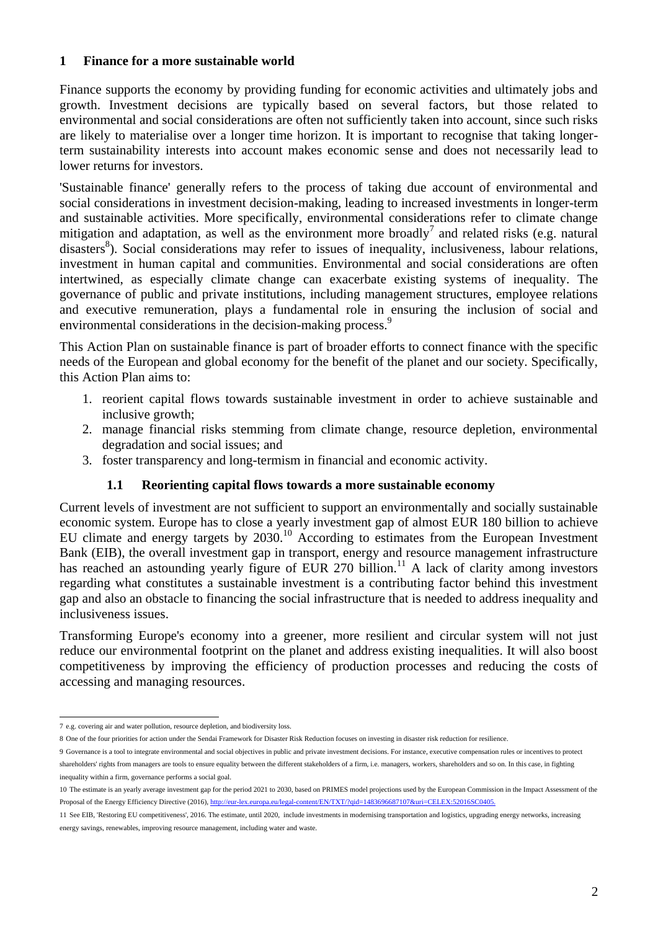#### **1 Finance for a more sustainable world**

Finance supports the economy by providing funding for economic activities and ultimately jobs and growth. Investment decisions are typically based on several factors, but those related to environmental and social considerations are often not sufficiently taken into account, since such risks are likely to materialise over a longer time horizon. It is important to recognise that taking longerterm sustainability interests into account makes economic sense and does not necessarily lead to lower returns for investors.

'Sustainable finance' generally refers to the process of taking due account of environmental and social considerations in investment decision-making, leading to increased investments in longer-term and sustainable activities. More specifically, environmental considerations refer to climate change mitigation and adaptation, as well as the environment more broadly<sup>7</sup> and related risks (e.g. natural disasters<sup>8</sup>). Social considerations may refer to issues of inequality, inclusiveness, labour relations, investment in human capital and communities. Environmental and social considerations are often intertwined, as especially climate change can exacerbate existing systems of inequality. The governance of public and private institutions, including management structures, employee relations and executive remuneration, plays a fundamental role in ensuring the inclusion of social and environmental considerations in the decision-making process.<sup>9</sup>

This Action Plan on sustainable finance is part of broader efforts to connect finance with the specific needs of the European and global economy for the benefit of the planet and our society. Specifically, this Action Plan aims to:

- 1. reorient capital flows towards sustainable investment in order to achieve sustainable and inclusive growth;
- 2. manage financial risks stemming from climate change, resource depletion, environmental degradation and social issues; and
- 3. foster transparency and long-termism in financial and economic activity.

### **1.1 Reorienting capital flows towards a more sustainable economy**

Current levels of investment are not sufficient to support an environmentally and socially sustainable economic system. Europe has to close a yearly investment gap of almost EUR 180 billion to achieve EU climate and energy targets by 2030.<sup>10</sup> According to estimates from the European Investment Bank (EIB), the overall investment gap in transport, energy and resource management infrastructure has reached an astounding yearly figure of EUR 270 billion.<sup>11</sup> A lack of clarity among investors regarding what constitutes a sustainable investment is a contributing factor behind this investment gap and also an obstacle to financing the social infrastructure that is needed to address inequality and inclusiveness issues.

Transforming Europe's economy into a greener, more resilient and circular system will not just reduce our environmental footprint on the planet and address existing inequalities. It will also boost competitiveness by improving the efficiency of production processes and reducing the costs of accessing and managing resources.

<sup>1</sup> 7 e.g. covering air and water pollution, resource depletion, and biodiversity loss.

<sup>8</sup> One of the four priorities for action under the Sendai Framework for Disaster Risk Reduction focuses on investing in disaster risk reduction for resilience.

<sup>9</sup> Governance is a tool to integrate environmental and social objectives in public and private investment decisions. For instance, executive compensation rules or incentives to protect shareholders' rights from managers are tools to ensure equality between the different stakeholders of a firm, i.e. managers, workers, shareholders and so on. In this case, in fighting inequality within a firm, governance performs a social goal.

<sup>10</sup> The estimate is an yearly average investment gap for the period 2021 to 2030, based on PRIMES model projections used by the European Commission in the Impact Assessment of the Proposal of the Energy Efficiency Directive (2016)[, http://eur-lex.europa.eu/legal-content/EN/TXT/?qid=1483696687107&uri=CELEX:52016SC0405.](http://eur-lex.europa.eu/legal-content/EN/TXT/?qid=1483696687107&uri=CELEX:52016SC0405)

<sup>11</sup> See EIB, 'Restoring EU competitiveness', 2016. The estimate, until 2020, include investments in modernising transportation and logistics, upgrading energy networks, increasing energy savings, renewables, improving resource management, including water and waste.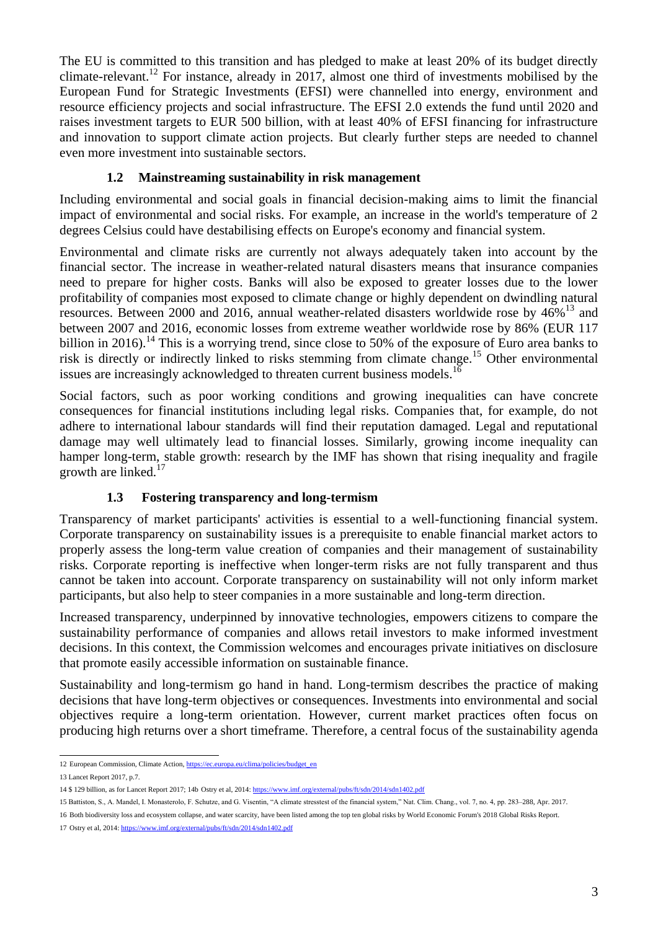The EU is committed to this transition and has pledged to make at least 20% of its budget directly climate-relevant.<sup>12</sup> For instance, already in 2017, almost one third of investments mobilised by the European Fund for Strategic Investments (EFSI) were channelled into energy, environment and resource efficiency projects and social infrastructure. The EFSI 2.0 extends the fund until 2020 and raises investment targets to EUR 500 billion, with at least 40% of EFSI financing for infrastructure and innovation to support climate action projects. But clearly further steps are needed to channel even more investment into sustainable sectors.

# **1.2 Mainstreaming sustainability in risk management**

Including environmental and social goals in financial decision-making aims to limit the financial impact of environmental and social risks. For example, an increase in the world's temperature of 2 degrees Celsius could have destabilising effects on Europe's economy and financial system.

Environmental and climate risks are currently not always adequately taken into account by the financial sector. The increase in weather-related natural disasters means that insurance companies need to prepare for higher costs. Banks will also be exposed to greater losses due to the lower profitability of companies most exposed to climate change or highly dependent on dwindling natural resources. Between 2000 and 2016, annual weather-related disasters worldwide rose by 46%<sup>13</sup> and between 2007 and 2016, economic losses from extreme weather worldwide [rose by 86%](http://www.lancetcountdown.org/) (EUR 117 billion in 2016).<sup>14</sup> This is a worrying trend, since close to 50% of the exposure of Euro area banks to risk is directly or indirectly linked to risks stemming from climate change.<sup>15</sup> Other environmental issues are increasingly acknowledged to threaten current business models.<sup>16</sup>

Social factors, such as poor working conditions and growing inequalities can have concrete consequences for financial institutions including legal risks. Companies that, for example, do not adhere to international labour standards will find their reputation damaged. Legal and reputational damage may well ultimately lead to financial losses. Similarly, growing income inequality can hamper long-term, stable growth: research by the IMF has shown that rising inequality and fragile growth are linked.<sup>17</sup>

# **1.3 Fostering transparency and long-termism**

Transparency of market participants' activities is essential to a well-functioning financial system. Corporate transparency on sustainability issues is a prerequisite to enable financial market actors to properly assess the long-term value creation of companies and their management of sustainability risks. Corporate reporting is ineffective when longer-term risks are not fully transparent and thus cannot be taken into account. Corporate transparency on sustainability will not only inform market participants, but also help to steer companies in a more sustainable and long-term direction.

Increased transparency, underpinned by innovative technologies, empowers citizens to compare the sustainability performance of companies and allows retail investors to make informed investment decisions. In this context, the Commission welcomes and encourages private initiatives on disclosure that promote easily accessible information on sustainable finance.

Sustainability and long-termism go hand in hand. Long-termism describes the practice of making decisions that have long-term objectives or consequences. Investments into environmental and social objectives require a long-term orientation. However, current market practices often focus on producing high returns over a short timeframe. Therefore, a central focus of the sustainability agenda

<sup>12</sup> European Commission, Climate Action[, https://ec.europa.eu/clima/policies/budget\\_en](https://ec.europa.eu/clima/policies/budget_en)

<sup>13</sup> Lancet Report 2017, p.7.

<sup>14</sup> \$ 129 billion, as for Lancet Report 2017; 14b Ostry et al, 2014[: https://www.imf.org/external/pubs/ft/sdn/2014/sdn1402.pdf](https://www.imf.org/external/pubs/ft/sdn/2014/sdn1402.pdf)

<sup>15</sup> Battiston, S., A. Mandel, I. Monasterolo, F. Schutze, and G. Visentin, "A climate stresstest of the financial system," Nat. Clim. Chang., vol. 7, no. 4, pp. 283–288, Apr. 2017.

<sup>16</sup> Both biodiversity loss and ecosystem collapse, and water scarcity, have been listed among the top ten global risks by World Economic Forum's 2018 Global Risks Report. 17 Ostry et al, 2014[: https://www.imf.org/external/pubs/ft/sdn/2014/sdn1402.pdf](https://www.imf.org/external/pubs/ft/sdn/2014/sdn1402.pdf)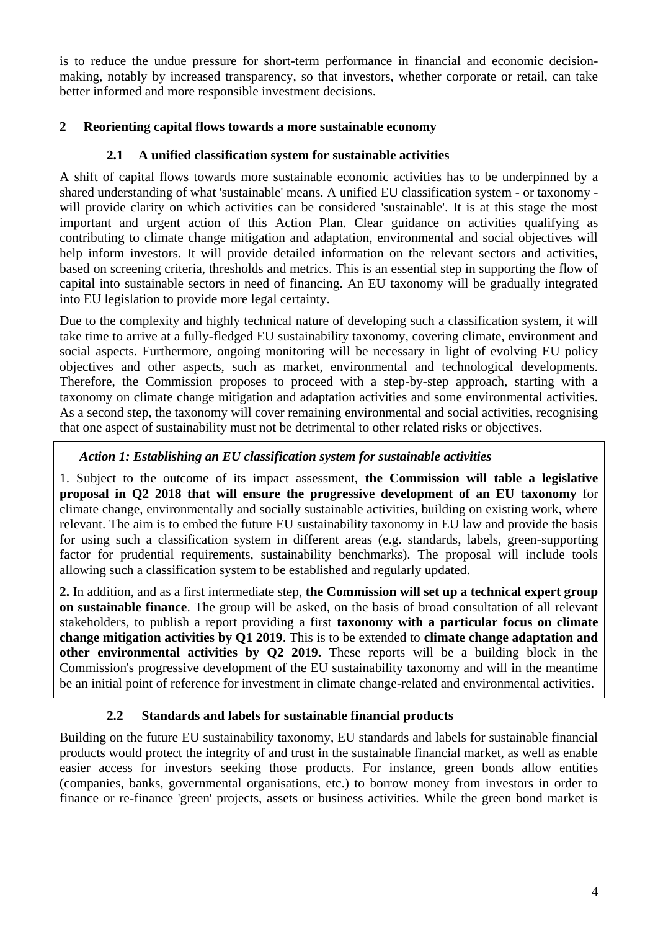is to reduce the undue pressure for short-term performance in financial and economic decisionmaking, notably by increased transparency, so that investors, whether corporate or retail, can take better informed and more responsible investment decisions.

### **2 Reorienting capital flows towards a more sustainable economy**

### **2.1 A unified classification system for sustainable activities**

A shift of capital flows towards more sustainable economic activities has to be underpinned by a shared understanding of what 'sustainable' means. A unified EU classification system - or taxonomy will provide clarity on which activities can be considered 'sustainable'. It is at this stage the most important and urgent action of this Action Plan. Clear guidance on activities qualifying as contributing to climate change mitigation and adaptation, environmental and social objectives will help inform investors. It will provide detailed information on the relevant sectors and activities, based on screening criteria, thresholds and metrics. This is an essential step in supporting the flow of capital into sustainable sectors in need of financing. An EU taxonomy will be gradually integrated into EU legislation to provide more legal certainty.

Due to the complexity and highly technical nature of developing such a classification system, it will take time to arrive at a fully-fledged EU sustainability taxonomy, covering climate, environment and social aspects. Furthermore, ongoing monitoring will be necessary in light of evolving EU policy objectives and other aspects, such as market, environmental and technological developments. Therefore, the Commission proposes to proceed with a step-by-step approach, starting with a taxonomy on climate change mitigation and adaptation activities and some environmental activities. As a second step, the taxonomy will cover remaining environmental and social activities, recognising that one aspect of sustainability must not be detrimental to other related risks or objectives.

# *Action 1: Establishing an EU classification system for sustainable activities*

1. Subject to the outcome of its impact assessment, **the Commission will table a legislative proposal in Q2 2018 that will ensure the progressive development of an EU taxonomy** for climate change, environmentally and socially sustainable activities, building on existing work, where relevant. The aim is to embed the future EU sustainability taxonomy in EU law and provide the basis for using such a classification system in different areas (e.g. standards, labels, green-supporting factor for prudential requirements, sustainability benchmarks). The proposal will include tools allowing such a classification system to be established and regularly updated.

**2.** In addition, and as a first intermediate step, **the Commission will set up a technical expert group on sustainable finance**. The group will be asked, on the basis of broad consultation of all relevant stakeholders, to publish a report providing a first **taxonomy with a particular focus on climate change mitigation activities by Q1 2019**. This is to be extended to **climate change adaptation and other environmental activities by Q2 2019.** These reports will be a building block in the Commission's progressive development of the EU sustainability taxonomy and will in the meantime be an initial point of reference for investment in climate change-related and environmental activities.

### **2.2 Standards and labels for sustainable financial products**

Building on the future EU sustainability taxonomy, EU standards and labels for sustainable financial products would protect the integrity of and trust in the sustainable financial market, as well as enable easier access for investors seeking those products. For instance, green bonds allow entities (companies, banks, governmental organisations, etc.) to borrow money from investors in order to finance or re-finance 'green' projects, assets or business activities. While the green bond market is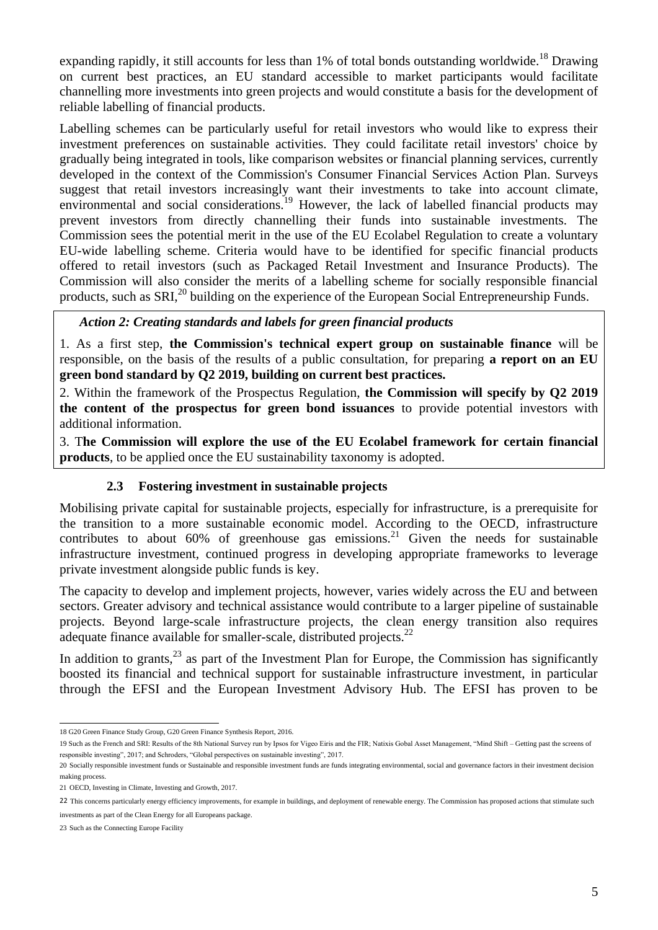expanding rapidly, it still accounts for less than  $1\%$  of total bonds outstanding worldwide.<sup>18</sup> Drawing on current best practices, an EU standard accessible to market participants would facilitate channelling more investments into green projects and would constitute a basis for the development of reliable labelling of financial products.

Labelling schemes can be particularly useful for retail investors who would like to express their investment preferences on sustainable activities. They could facilitate retail investors' choice by gradually being integrated in tools, like comparison websites or financial planning services, currently developed in the context of the Commission's Consumer Financial Services Action Plan. Surveys suggest that retail investors increasingly want their investments to take into account climate, environmental and social considerations.<sup>19</sup> However, the lack of labelled financial products may prevent investors from directly channelling their funds into sustainable investments. The Commission sees the potential merit in the use of the EU Ecolabel Regulation to create a voluntary EU-wide labelling scheme. Criteria would have to be identified for specific financial products offered to retail investors (such as Packaged Retail Investment and Insurance Products). The Commission will also consider the merits of a labelling scheme for socially responsible financial products, such as SRI,<sup>20</sup> building on the experience of the European Social Entrepreneurship Funds.

### *Action 2: Creating standards and labels for green financial products*

1. As a first step, **the Commission's technical expert group on sustainable finance** will be responsible, on the basis of the results of a public consultation, for preparing **a report on an EU green bond standard by Q2 2019, building on current best practices.**

2. Within the framework of the Prospectus Regulation, **the Commission will specify by Q2 2019 the content of the prospectus for green bond issuances** to provide potential investors with additional information.

3. T**he Commission will explore the use of the EU Ecolabel framework for certain financial products**, to be applied once the EU sustainability taxonomy is adopted.

### **2.3 Fostering investment in sustainable projects**

Mobilising private capital for sustainable projects, especially for infrastructure, is a prerequisite for the transition to a more sustainable economic model. According to the OECD, infrastructure contributes to about  $60\%$  of greenhouse gas emissions.<sup>21</sup> Given the needs for sustainable infrastructure investment, continued progress in developing appropriate frameworks to leverage private investment alongside public funds is key.

The capacity to develop and implement projects, however, varies widely across the EU and between sectors. Greater advisory and technical assistance would contribute to a larger pipeline of sustainable projects. Beyond large-scale infrastructure projects, the clean energy transition also requires adequate finance available for smaller-scale, distributed projects.<sup>22</sup>

In addition to grants,  $^{23}$  as part of the Investment Plan for Europe, the Commission has significantly boosted its financial and technical support for sustainable infrastructure investment, in particular through the EFSI and the European Investment Advisory Hub. The EFSI has proven to be

 18 G20 Green Finance Study Group, G20 Green Finance Synthesis Report, 2016.

<sup>19</sup> Such as the French and SRI: Results of the 8th National Survey run by Ipsos for Vigeo Eiris and the FIR; Natixis Gobal Asset Management, "Mind Shift – Getting past the screens of responsible investing", 2017; and Schroders, "Global perspectives on sustainable investing", 2017.

<sup>20</sup> Socially responsible investment funds or Sustainable and responsible investment funds are funds integrating environmental, social and governance factors in their investment decision making process.

<sup>21</sup> OECD, Investing in Climate, Investing and Growth, 2017.

<sup>22</sup> This concerns particularly energy efficiency improvements, for example in buildings, and deployment of renewable energy. The Commission has proposed actions that stimulate such investments as part of the Clean Energy for all Europeans package.

<sup>23</sup> Such as the Connecting Europe Facility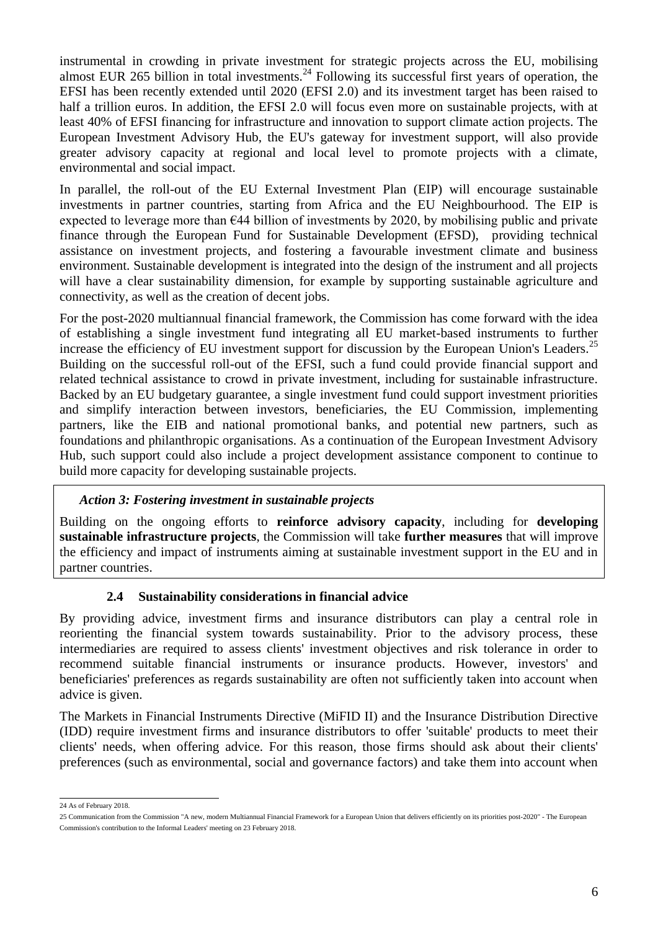instrumental in crowding in private investment for strategic projects across the EU, mobilising almost EUR 265 billion in total investments.<sup>24</sup> Following its successful first years of operation, the EFSI has been recently extended until 2020 (EFSI 2.0) and its investment target has been raised to half a trillion euros. In addition, the EFSI 2.0 will focus even more on sustainable projects, with at least 40% of EFSI financing for infrastructure and innovation to support climate action projects. The European Investment Advisory Hub, the EU's gateway for investment support, will also provide greater advisory capacity at regional and local level to promote projects with a climate, environmental and social impact.

In parallel, the roll-out of the EU External Investment Plan (EIP) will encourage sustainable investments in partner countries, starting from Africa and the EU Neighbourhood. The EIP is expected to leverage more than  $644$  billion of investments by 2020, by mobilising public and private finance through the European Fund for Sustainable Development (EFSD), providing technical assistance on investment projects, and fostering a favourable investment climate and business environment. Sustainable development is integrated into the design of the instrument and all projects will have a clear sustainability dimension, for example by supporting sustainable agriculture and connectivity, as well as the creation of decent jobs.

For the post-2020 multiannual financial framework, the Commission has come forward with the idea of establishing a single investment fund integrating all EU market-based instruments to further increase the efficiency of EU investment support for discussion by the European Union's Leaders.<sup>25</sup> Building on the successful roll-out of the EFSI, such a fund could provide financial support and related technical assistance to crowd in private investment, including for sustainable infrastructure. Backed by an EU budgetary guarantee, a single investment fund could support investment priorities and simplify interaction between investors, beneficiaries, the EU Commission, implementing partners, like the EIB and national promotional banks, and potential new partners, such as foundations and philanthropic organisations. As a continuation of the European Investment Advisory Hub, such support could also include a project development assistance component to continue to build more capacity for developing sustainable projects.

### *Action 3: Fostering investment in sustainable projects*

Building on the ongoing efforts to **reinforce advisory capacity**, including for **developing sustainable infrastructure projects**, the Commission will take **further measures** that will improve the efficiency and impact of instruments aiming at sustainable investment support in the EU and in partner countries.

### **2.4 Sustainability considerations in financial advice**

By providing advice, investment firms and insurance distributors can play a central role in reorienting the financial system towards sustainability. Prior to the advisory process, these intermediaries are required to assess clients' investment objectives and risk tolerance in order to recommend suitable financial instruments or insurance products. However, investors' and beneficiaries' preferences as regards sustainability are often not sufficiently taken into account when advice is given.

The Markets in Financial Instruments Directive (MiFID II) and the Insurance Distribution Directive (IDD) require investment firms and insurance distributors to offer 'suitable' products to meet their clients' needs, when offering advice. For this reason, those firms should ask about their clients' preferences (such as environmental, social and governance factors) and take them into account when

 24 As of February 2018.

<sup>25</sup> Communication from the Commission "A new, modern Multiannual Financial Framework for a European Union that delivers efficiently on its priorities post-2020" - The European Commission's contribution to the Informal Leaders' meeting on 23 February 2018.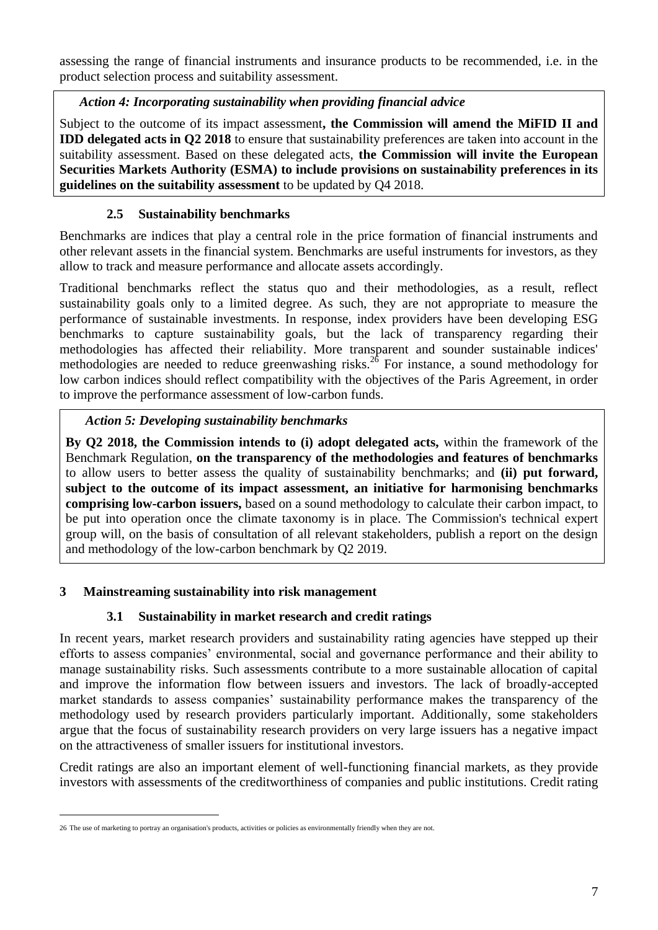assessing the range of financial instruments and insurance products to be recommended, i.e. in the product selection process and suitability assessment.

### *Action 4: Incorporating sustainability when providing financial advice*

Subject to the outcome of its impact assessment**, the Commission will amend the MiFID II and IDD delegated acts in Q2 2018** to ensure that sustainability preferences are taken into account in the suitability assessment. Based on these delegated acts, **the Commission will invite the European Securities Markets Authority (ESMA) to include provisions on sustainability preferences in its guidelines on the suitability assessment** to be updated by Q4 2018.

### **2.5 Sustainability benchmarks**

Benchmarks are indices that play a central role in the price formation of financial instruments and other relevant assets in the financial system. Benchmarks are useful instruments for investors, as they allow to track and measure performance and allocate assets accordingly.

Traditional benchmarks reflect the status quo and their methodologies, as a result, reflect sustainability goals only to a limited degree. As such, they are not appropriate to measure the performance of sustainable investments. In response, index providers have been developing ESG benchmarks to capture sustainability goals, but the lack of transparency regarding their methodologies has affected their reliability. More transparent and sounder sustainable indices' methodologies are needed to reduce greenwashing risks.<sup>26</sup> For instance, a sound methodology for low carbon indices should reflect compatibility with the objectives of the Paris Agreement, in order to improve the performance assessment of low-carbon funds.

### *Action 5: Developing sustainability benchmarks*

**By Q2 2018, the Commission intends to (i) adopt delegated acts,** within the framework of the Benchmark Regulation, **on the transparency of the methodologies and features of benchmarks**  to allow users to better assess the quality of sustainability benchmarks; and **(ii) put forward, subject to the outcome of its impact assessment, an initiative for harmonising benchmarks comprising low-carbon issuers,** based on a sound methodology to calculate their carbon impact, to be put into operation once the climate taxonomy is in place. The Commission's technical expert group will, on the basis of consultation of all relevant stakeholders, publish a report on the design and methodology of the low-carbon benchmark by Q2 2019.

### **3 Mainstreaming sustainability into risk management**

### **3.1 Sustainability in market research and credit ratings**

In recent years, market research providers and sustainability rating agencies have stepped up their efforts to assess companies' environmental, social and governance performance and their ability to manage sustainability risks. Such assessments contribute to a more sustainable allocation of capital and improve the information flow between issuers and investors. The lack of broadly-accepted market standards to assess companies' sustainability performance makes the transparency of the methodology used by research providers particularly important. Additionally, some stakeholders argue that the focus of sustainability research providers on very large issuers has a negative impact on the attractiveness of smaller issuers for institutional investors.

Credit ratings are also an important element of well-functioning financial markets, as they provide investors with assessments of the creditworthiness of companies and public institutions. Credit rating

1

<sup>26</sup> The use of marketing to portray an organisation's products, activities or policies as environmentally friendly when they are not.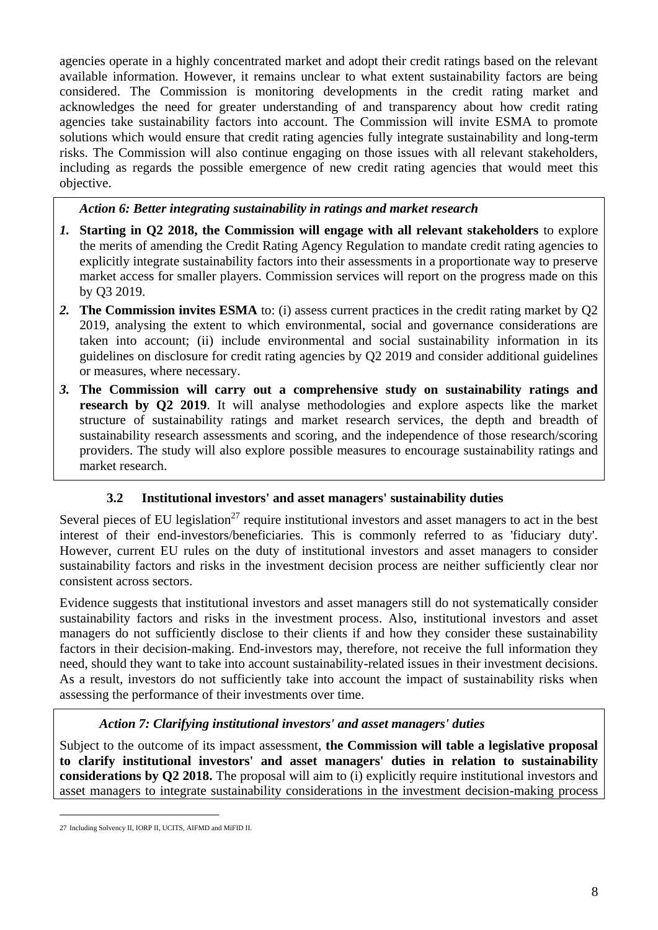agencies operate in a highly concentrated market and adopt their credit ratings based on the relevant available information. However, it remains unclear to what extent sustainability factors are being considered. The Commission is monitoring developments in the credit rating market and acknowledges the need for greater understanding of and transparency about how credit rating agencies take sustainability factors into account. The Commission will invite ESMA to promote solutions which would ensure that credit rating agencies fully integrate sustainability and long-term risks. The Commission will also continue engaging on those issues with all relevant stakeholders, including as regards the possible emergence of new credit rating agencies that would meet this objective.

### *Action 6: Better integrating sustainability in ratings and market research*

- *1.* **Starting in Q2 2018, the Commission will engage with all relevant stakeholders** to explore the merits of amending the Credit Rating Agency Regulation to mandate credit rating agencies to explicitly integrate sustainability factors into their assessments in a proportionate way to preserve market access for smaller players. Commission services will report on the progress made on this by Q3 2019.
- *2.* **The Commission invites ESMA** to: (i) assess current practices in the credit rating market by Q2 2019, analysing the extent to which environmental, social and governance considerations are taken into account; (ii) include environmental and social sustainability information in its guidelines on disclosure for credit rating agencies by Q2 2019 and consider additional guidelines or measures, where necessary.
- *3.* **The Commission will carry out a comprehensive study on sustainability ratings and research by Q2 2019**. It will analyse methodologies and explore aspects like the market structure of sustainability ratings and market research services, the depth and breadth of sustainability research assessments and scoring, and the independence of those research/scoring providers. The study will also explore possible measures to encourage sustainability ratings and market research.

# **3.2 Institutional investors' and asset managers' sustainability duties**

Several pieces of EU legislation<sup>27</sup> require institutional investors and asset managers to act in the best interest of their end-investors/beneficiaries. This is commonly referred to as 'fiduciary duty'. However, current EU rules on the duty of institutional investors and asset managers to consider sustainability factors and risks in the investment decision process are neither sufficiently clear nor consistent across sectors.

Evidence suggests that institutional investors and asset managers still do not systematically consider sustainability factors and risks in the investment process. Also, institutional investors and asset managers do not sufficiently disclose to their clients if and how they consider these sustainability factors in their decision-making. End-investors may, therefore, not receive the full information they need, should they want to take into account sustainability-related issues in their investment decisions. As a result, investors do not sufficiently take into account the impact of sustainability risks when assessing the performance of their investments over time.

### *Action 7: Clarifying institutional investors' and asset managers' duties*

Subject to the outcome of its impact assessment, **the Commission will table a legislative proposal to clarify institutional investors' and asset managers' duties in relation to sustainability considerations by Q2 2018.** The proposal will aim to (i) explicitly require institutional investors and asset managers to integrate sustainability considerations in the investment decision-making process

1

<sup>27</sup> Including Solvency II, IORP II, UCITS, AIFMD and MiFID II.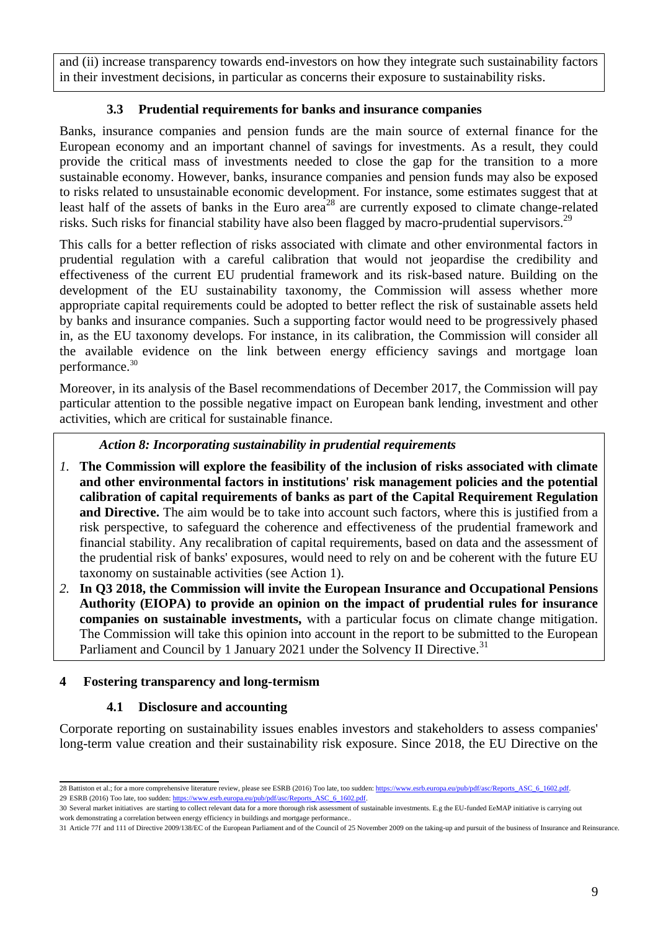and (ii) increase transparency towards end-investors on how they integrate such sustainability factors in their investment decisions, in particular as concerns their exposure to sustainability risks.

# **3.3 Prudential requirements for banks and insurance companies**

Banks, insurance companies and pension funds are the main source of external finance for the European economy and an important channel of savings for investments. As a result, they could provide the critical mass of investments needed to close the gap for the transition to a more sustainable economy. However, banks, insurance companies and pension funds may also be exposed to risks related to unsustainable economic development. For instance, some estimates suggest that at least half of the assets of banks in the Euro area<sup>28</sup> are currently exposed to climate change-related risks. Such risks for financial stability have also been flagged by macro-prudential supervisors.<sup>29</sup>

This calls for a better reflection of risks associated with climate and other environmental factors in prudential regulation with a careful calibration that would not jeopardise the credibility and effectiveness of the current EU prudential framework and its risk-based nature. Building on the development of the EU sustainability taxonomy, the Commission will assess whether more appropriate capital requirements could be adopted to better reflect the risk of sustainable assets held by banks and insurance companies. Such a supporting factor would need to be progressively phased in, as the EU taxonomy develops. For instance, in its calibration, the Commission will consider all the available evidence on the link between energy efficiency savings and mortgage loan performance.<sup>30</sup>

Moreover, in its analysis of the Basel recommendations of December 2017, the Commission will pay particular attention to the possible negative impact on European bank lending, investment and other activities, which are critical for sustainable finance.

### *Action 8: Incorporating sustainability in prudential requirements*

- *1.* **The Commission will explore the feasibility of the inclusion of risks associated with climate and other environmental factors in institutions' risk management policies and the potential calibration of capital requirements of banks as part of the Capital Requirement Regulation and Directive.** The aim would be to take into account such factors, where this is justified from a risk perspective, to safeguard the coherence and effectiveness of the prudential framework and financial stability. Any recalibration of capital requirements, based on data and the assessment of the prudential risk of banks' exposures, would need to rely on and be coherent with the future EU taxonomy on sustainable activities (see Action 1).
- *2.* **In Q3 2018, the Commission will invite the European Insurance and Occupational Pensions Authority (EIOPA) to provide an opinion on the impact of prudential rules for insurance companies on sustainable investments,** with a particular focus on climate change mitigation. The Commission will take this opinion into account in the report to be submitted to the European Parliament and Council by 1 January 2021 under the Solvency II Directive.<sup>31</sup>

# **4 Fostering transparency and long-termism**

# **4.1 Disclosure and accounting**

Corporate reporting on sustainability issues enables investors and stakeholders to assess companies' long-term value creation and their sustainability risk exposure. Since 2018, the EU Directive on the

<sup>28</sup> Battiston et al.; for a more comprehensive literature review, please see ESRB (2016) Too late, too sudden[: https://www.esrb.europa.eu/pub/pdf/asc/Reports\\_ASC\\_6\\_1602.pdf.](https://www.esrb.europa.eu/pub/pdf/asc/Reports_ASC_6_1602.pdf) 29 ESRB (2016) Too late, too sudden[: https://www.esrb.europa.eu/pub/pdf/asc/Reports\\_ASC\\_6\\_1602.pdf.](https://www.esrb.europa.eu/pub/pdf/asc/Reports_ASC_6_1602.pdf)

<sup>30</sup> Several market initiatives are starting to collect relevant data for a more thorough risk assessment of sustainable investments. E.g the EU-funded EeMAP initiative is carrying out work demonstrating a correlation between energy efficiency in buildings and mortgage performance..

<sup>31</sup> Article 77f and 111 of Directive 2009/138/EC of the European Parliament and of the Council of 25 November 2009 on the taking-up and pursuit of the business of Insurance and Reinsurance.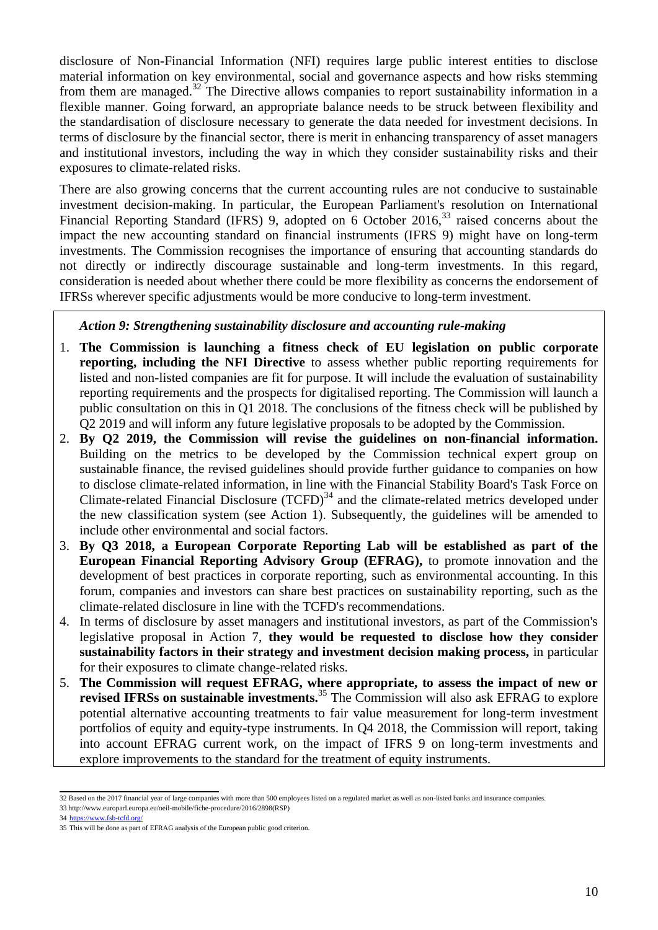disclosure of Non-Financial Information (NFI) requires large public interest entities to disclose material information on key environmental, social and governance aspects and how risks stemming from them are managed.<sup>32</sup> The Directive allows companies to report sustainability information in a flexible manner. Going forward, an appropriate balance needs to be struck between flexibility and the standardisation of disclosure necessary to generate the data needed for investment decisions. In terms of disclosure by the financial sector, there is merit in enhancing transparency of asset managers and institutional investors, including the way in which they consider sustainability risks and their exposures to climate-related risks.

There are also growing concerns that the current accounting rules are not conducive to sustainable investment decision-making. In particular, the European Parliament's resolution on International Financial Reporting Standard (IFRS) 9, adopted on 6 October 2016,<sup>33</sup> raised concerns about the impact the new accounting standard on financial instruments (IFRS 9) might have on long-term investments. The Commission recognises the importance of ensuring that accounting standards do not directly or indirectly discourage sustainable and long-term investments. In this regard, consideration is needed about whether there could be more flexibility as concerns the endorsement of IFRSs wherever specific adjustments would be more conducive to long-term investment.

#### *Action 9: Strengthening sustainability disclosure and accounting rule-making*

- 1. **The Commission is launching a fitness check of EU legislation on public corporate reporting, including the NFI Directive** to assess whether public reporting requirements for listed and non-listed companies are fit for purpose. It will include the evaluation of sustainability reporting requirements and the prospects for digitalised reporting. The Commission will launch a public consultation on this in Q1 2018. The conclusions of the fitness check will be published by Q2 2019 and will inform any future legislative proposals to be adopted by the Commission.
- 2. **By Q2 2019, the Commission will revise the guidelines on non-financial information.**  Building on the metrics to be developed by the Commission technical expert group on sustainable finance, the revised guidelines should provide further guidance to companies on how to disclose climate-related information, in line with the Financial Stability Board's Task Force on Climate-related Financial Disclosure  $(TCFD)^{34}$  and the climate-related metrics developed under the new classification system (see Action 1). Subsequently, the guidelines will be amended to include other environmental and social factors.
- 3. **By Q3 2018, a European Corporate Reporting Lab will be established as part of the European Financial Reporting Advisory Group (EFRAG),** to promote innovation and the development of best practices in corporate reporting, such as environmental accounting. In this forum, companies and investors can share best practices on sustainability reporting, such as the climate-related disclosure in line with the TCFD's recommendations.
- 4. In terms of disclosure by asset managers and institutional investors, as part of the Commission's legislative proposal in Action 7, **they would be requested to disclose how they consider sustainability factors in their strategy and investment decision making process,** in particular for their exposures to climate change-related risks.
- 5. **The Commission will request EFRAG, where appropriate, to assess the impact of new or revised IFRSs on sustainable investments.**<sup>35</sup> The Commission will also ask EFRAG to explore potential alternative accounting treatments to fair value measurement for long-term investment portfolios of equity and equity-type instruments. In Q4 2018, the Commission will report, taking into account EFRAG current work, on the impact of IFRS 9 on long-term investments and explore improvements to the standard for the treatment of equity instruments.

 32 Based on the 2017 financial year of large companies with more than 500 employees listed on a regulated market as well as non-listed banks and insurance companies.

<sup>33</sup> [http://www.europarl.europa.eu/oeil-mobile/fiche-procedure/2016/2898\(RSP\)](http://www.europarl.europa.eu/oeil-mobile/fiche-procedure/2016/2898(RSP))

<sup>34</sup> <https://www.fsb-tcfd.org/>

<sup>35</sup> This will be done as part of EFRAG analysis of the European public good criterion.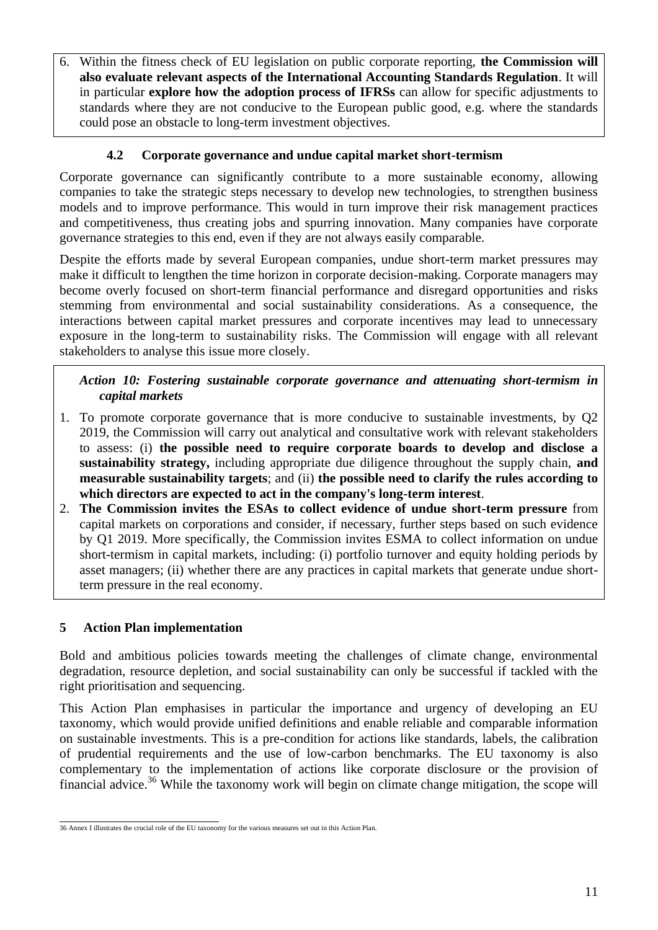6. Within the fitness check of EU legislation on public corporate reporting, **the Commission will also evaluate relevant aspects of the International Accounting Standards Regulation**. It will in particular **explore how the adoption process of IFRSs** can allow for specific adjustments to standards where they are not conducive to the European public good, e.g. where the standards could pose an obstacle to long-term investment objectives.

### **4.2 Corporate governance and undue capital market short-termism**

Corporate governance can significantly contribute to a more sustainable economy, allowing companies to take the strategic steps necessary to develop new technologies, to strengthen business models and to improve performance. This would in turn improve their risk management practices and competitiveness, thus creating jobs and spurring innovation. Many companies have corporate governance strategies to this end, even if they are not always easily comparable.

Despite the efforts made by several European companies, undue short-term market pressures may make it difficult to lengthen the time horizon in corporate decision-making. Corporate managers may become overly focused on short-term financial performance and disregard opportunities and risks stemming from environmental and social sustainability considerations. As a consequence, the interactions between capital market pressures and corporate incentives may lead to unnecessary exposure in the long-term to sustainability risks. The Commission will engage with all relevant stakeholders to analyse this issue more closely.

### *Action 10: Fostering sustainable corporate governance and attenuating short-termism in capital markets*

- 1. To promote corporate governance that is more conducive to sustainable investments, by Q2 2019, the Commission will carry out analytical and consultative work with relevant stakeholders to assess: (i) **the possible need to require corporate boards to develop and disclose a sustainability strategy,** including appropriate due diligence throughout the supply chain, **and measurable sustainability targets**; and (ii) **the possible need to clarify the rules according to which directors are expected to act in the company's long-term interest**.
- 2. **The Commission invites the ESAs to collect evidence of undue short-term pressure** from capital markets on corporations and consider, if necessary, further steps based on such evidence by Q1 2019. More specifically, the Commission invites ESMA to collect information on undue short-termism in capital markets, including: (i) portfolio turnover and equity holding periods by asset managers; (ii) whether there are any practices in capital markets that generate undue shortterm pressure in the real economy.

# **5 Action Plan implementation**

Bold and ambitious policies towards meeting the challenges of climate change, environmental degradation, resource depletion, and social sustainability can only be successful if tackled with the right prioritisation and sequencing.

This Action Plan emphasises in particular the importance and urgency of developing an EU taxonomy, which would provide unified definitions and enable reliable and comparable information on sustainable investments. This is a pre-condition for actions like standards, labels, the calibration of prudential requirements and the use of low-carbon benchmarks. The EU taxonomy is also complementary to the implementation of actions like corporate disclosure or the provision of financial advice.<sup>36</sup> While the taxonomy work will begin on climate change mitigation, the scope will

 36 Annex I illustrates the crucial role of the EU taxonomy for the various measures set out in this Action Plan.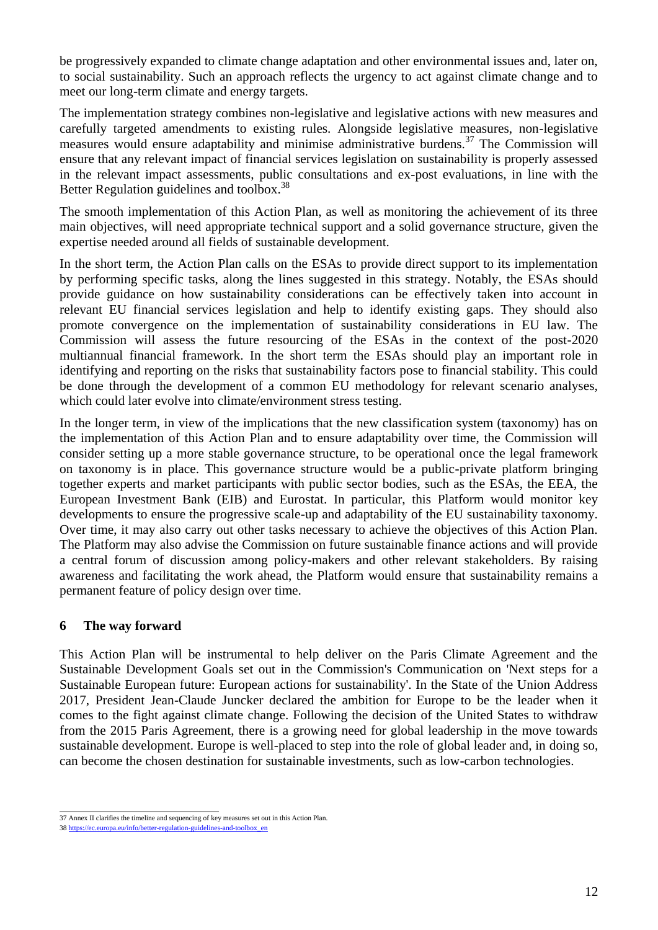be progressively expanded to climate change adaptation and other environmental issues and, later on, to social sustainability. Such an approach reflects the urgency to act against climate change and to meet our long-term climate and energy targets.

The implementation strategy combines non-legislative and legislative actions with new measures and carefully targeted amendments to existing rules. Alongside legislative measures, non-legislative measures would ensure adaptability and minimise administrative burdens.<sup>37</sup> The Commission will ensure that any relevant impact of financial services legislation on sustainability is properly assessed in the relevant impact assessments, public consultations and ex-post evaluations, in line with the Better Regulation guidelines and toolbox.<sup>38</sup>

The smooth implementation of this Action Plan, as well as monitoring the achievement of its three main objectives, will need appropriate technical support and a solid governance structure, given the expertise needed around all fields of sustainable development.

In the short term, the Action Plan calls on the ESAs to provide direct support to its implementation by performing specific tasks, along the lines suggested in this strategy. Notably, the ESAs should provide guidance on how sustainability considerations can be effectively taken into account in relevant EU financial services legislation and help to identify existing gaps. They should also promote convergence on the implementation of sustainability considerations in EU law. The Commission will assess the future resourcing of the ESAs in the context of the post-2020 multiannual financial framework. In the short term the ESAs should play an important role in identifying and reporting on the risks that sustainability factors pose to financial stability. This could be done through the development of a common EU methodology for relevant scenario analyses, which could later evolve into climate/environment stress testing.

In the longer term, in view of the implications that the new classification system (taxonomy) has on the implementation of this Action Plan and to ensure adaptability over time, the Commission will consider setting up a more stable governance structure, to be operational once the legal framework on taxonomy is in place. This governance structure would be a public-private platform bringing together experts and market participants with public sector bodies, such as the ESAs, the EEA, the European Investment Bank (EIB) and Eurostat. In particular, this Platform would monitor key developments to ensure the progressive scale-up and adaptability of the EU sustainability taxonomy. Over time, it may also carry out other tasks necessary to achieve the objectives of this Action Plan. The Platform may also advise the Commission on future sustainable finance actions and will provide a central forum of discussion among policy-makers and other relevant stakeholders. By raising awareness and facilitating the work ahead, the Platform would ensure that sustainability remains a permanent feature of policy design over time.

#### **6 The way forward**

This Action Plan will be instrumental to help deliver on the Paris Climate Agreement and the Sustainable Development Goals set out in the Commission's Communication on 'Next steps for a Sustainable European future: European actions for sustainability'. In the State of the Union Address 2017, President Jean-Claude Juncker declared the ambition for Europe to be the leader when it comes to the fight against climate change. Following the decision of the United States to withdraw from the 2015 Paris Agreement, there is a growing need for global leadership in the move towards sustainable development. Europe is well-placed to step into the role of global leader and, in doing so, can become the chosen destination for sustainable investments, such as low-carbon technologies.

 37 Annex II clarifies the timeline and sequencing of key measures set out in this Action Plan.

<sup>38</sup> [https://ec.europa.eu/info/better-regulation-guidelines-and-toolbox\\_en](https://ec.europa.eu/info/better-regulation-guidelines-and-toolbox_en)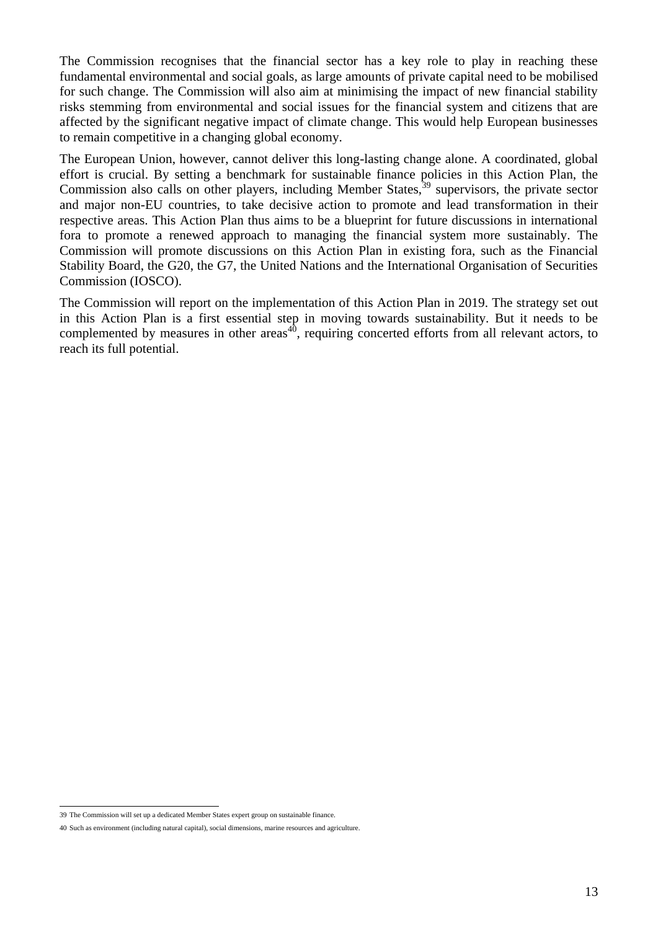The Commission recognises that the financial sector has a key role to play in reaching these fundamental environmental and social goals, as large amounts of private capital need to be mobilised for such change. The Commission will also aim at minimising the impact of new financial stability risks stemming from environmental and social issues for the financial system and citizens that are affected by the significant negative impact of climate change. This would help European businesses to remain competitive in a changing global economy.

The European Union, however, cannot deliver this long-lasting change alone. A coordinated, global effort is crucial. By setting a benchmark for sustainable finance policies in this Action Plan, the Commission also calls on other players, including Member States,  $39$  supervisors, the private sector and major non-EU countries, to take decisive action to promote and lead transformation in their respective areas. This Action Plan thus aims to be a blueprint for future discussions in international fora to promote a renewed approach to managing the financial system more sustainably. The Commission will promote discussions on this Action Plan in existing fora, such as the Financial Stability Board, the G20, the G7, the United Nations and the International Organisation of Securities Commission (IOSCO).

The Commission will report on the implementation of this Action Plan in 2019. The strategy set out in this Action Plan is a first essential step in moving towards sustainability. But it needs to be complemented by measures in other areas<sup>40</sup>, requiring concerted efforts from all relevant actors, to reach its full potential.

 39 The Commission will set up a dedicated Member States expert group on sustainable finance.

<sup>40</sup> Such as environment (including natural capital), social dimensions, marine resources and agriculture.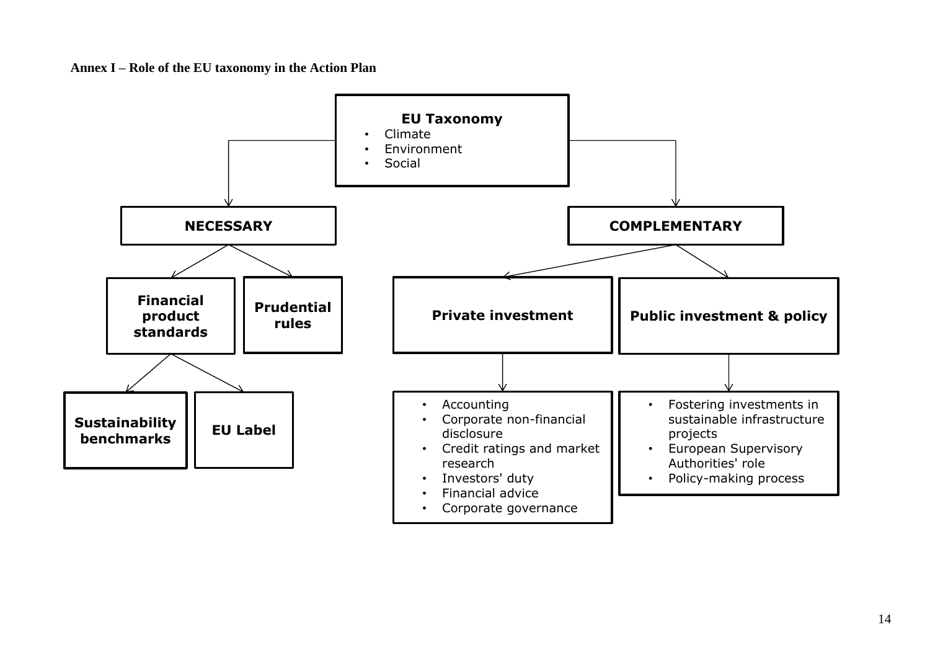**Annex I – Role of the EU taxonomy in the Action Plan**

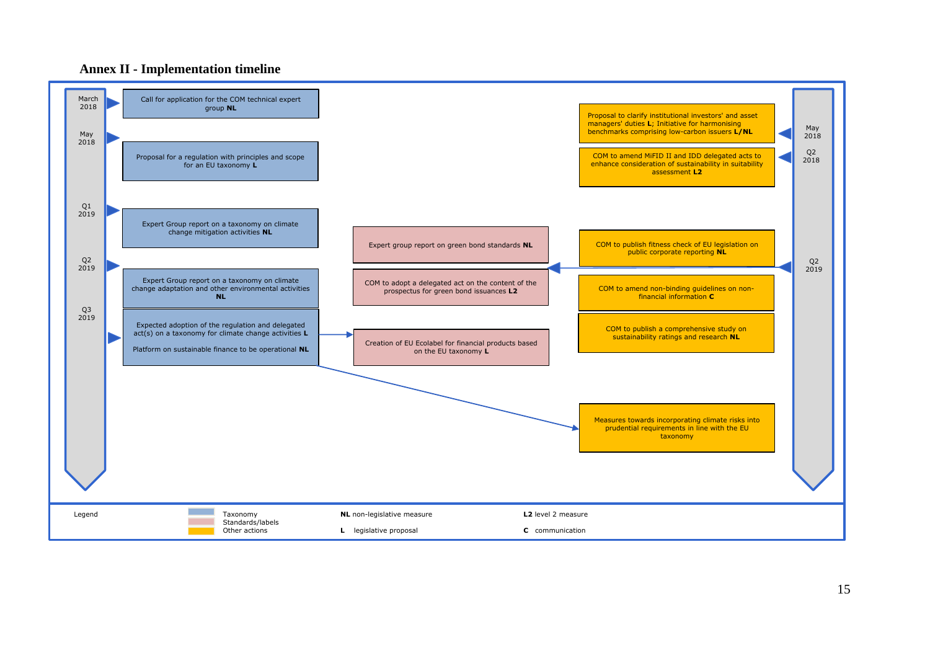

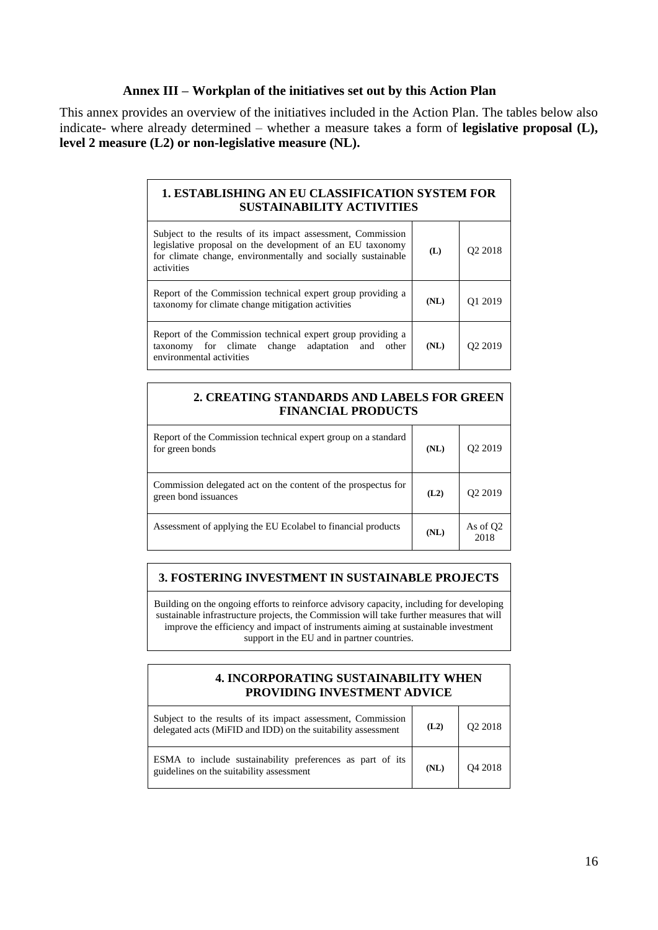#### **Annex III – Workplan of the initiatives set out by this Action Plan**

This annex provides an overview of the initiatives included in the Action Plan. The tables below also indicate- where already determined – whether a measure takes a form of **legislative proposal (L), level 2 measure (L2) or non-legislative measure (NL).**

| <b>1. ESTABLISHING AN EU CLASSIFICATION SYSTEM FOR</b><br><b>SUSTAINABILITY ACTIVITIES</b>                                                                                                             |      |                     |
|--------------------------------------------------------------------------------------------------------------------------------------------------------------------------------------------------------|------|---------------------|
| Subject to the results of its impact assessment, Commission<br>legislative proposal on the development of an EU taxonomy<br>for climate change, environmentally and socially sustainable<br>activities | (L)  | O <sub>2</sub> 2018 |
| Report of the Commission technical expert group providing a<br>taxonomy for climate change mitigation activities                                                                                       | (NL) | O <sub>1</sub> 2019 |
| Report of the Commission technical expert group providing a<br>taxonomy for climate change adaptation and other<br>environmental activities                                                            | (NL) | O <sub>2</sub> 2019 |

# **2. CREATING STANDARDS AND LABELS FOR GREEN FINANCIAL PRODUCTS** Report of the Commission technical expert group on a standard for green bonds **(NL)** Q2 2019 Commission delegated act on the content of the prospectus for green bond issuances **(L2)** Q2 2019 Assessment of applying the EU Ecolabel to financial products  $(XL)$  As of Q2 2018

### **3. FOSTERING INVESTMENT IN SUSTAINABLE PROJECTS**

Building on the ongoing efforts to reinforce advisory capacity, including for developing sustainable infrastructure projects, the Commission will take further measures that will improve the efficiency and impact of instruments aiming at sustainable investment support in the EU and in partner countries.

#### **4. INCORPORATING SUSTAINABILITY WHEN PROVIDING INVESTMENT ADVICE**

| Subject to the results of its impact assessment, Commission<br>delegated acts (MiFID and IDD) on the suitability assessment | (L2) | Q2 2018 |
|-----------------------------------------------------------------------------------------------------------------------------|------|---------|
| ESMA to include sustainability preferences as part of its<br>guidelines on the suitability assessment                       | (NL) | Q4 2018 |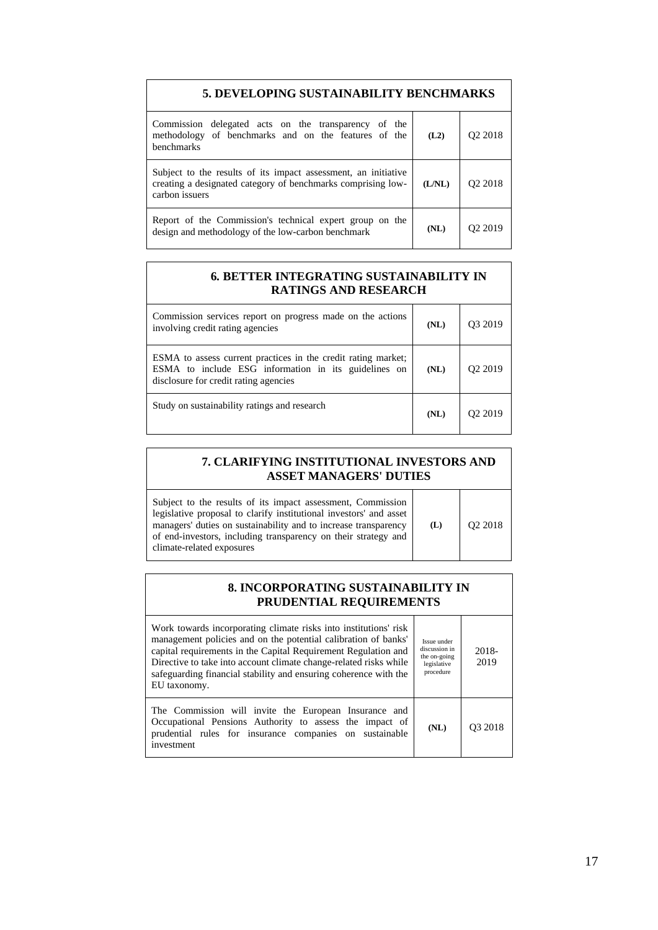| 5. DEVELOPING SUSTAINABILITY BENCHMARKS                                                                                                          |        |                     |
|--------------------------------------------------------------------------------------------------------------------------------------------------|--------|---------------------|
| Commission delegated acts on the transparency of the<br>methodology of benchmarks and on the features of the<br>benchmarks                       | (L2)   | O <sub>2</sub> 2018 |
| Subject to the results of its impact assessment, an initiative<br>creating a designated category of benchmarks comprising low-<br>carbon issuers | (L/NL) | O <sub>2</sub> 2018 |
| Report of the Commission's technical expert group on the<br>design and methodology of the low-carbon benchmark                                   | (NL)   | Q <sub>2</sub> 2019 |

#### **6***.* **BETTER INTEGRATING SUSTAINABILITY IN RATINGS AND RESEARCH**

| Commission services report on progress made on the actions<br>involving credit rating agencies                                                                 | (NL) | 93 2019 |
|----------------------------------------------------------------------------------------------------------------------------------------------------------------|------|---------|
| ESMA to assess current practices in the credit rating market;<br>ESMA to include ESG information in its guidelines on<br>disclosure for credit rating agencies | (NL) | 12 2019 |
| Study on sustainability ratings and research                                                                                                                   | (NL) |         |

| 7. CLARIFYING INSTITUTIONAL INVESTORS AND<br><b>ASSET MANAGERS' DUTIES</b>                                                                                                                                                                                                                          |     |                     |
|-----------------------------------------------------------------------------------------------------------------------------------------------------------------------------------------------------------------------------------------------------------------------------------------------------|-----|---------------------|
| Subject to the results of its impact assessment, Commission<br>legislative proposal to clarify institutional investors' and asset<br>managers' duties on sustainability and to increase transparency<br>of end-investors, including transparency on their strategy and<br>climate-related exposures | (L) | O <sub>2</sub> 2018 |

#### **8. INCORPORATING SUSTAINABILITY IN PRUDENTIAL REQUIREMENTS**

| Work towards incorporating climate risks into institutions' risk<br>management policies and on the potential calibration of banks'<br>capital requirements in the Capital Requirement Regulation and<br>Directive to take into account climate change-related risks while<br>safeguarding financial stability and ensuring coherence with the<br>EU taxonomy. | Issue under<br>discussion in<br>the on-going<br>legislative<br>procedure | $2018 -$<br>2019    |
|---------------------------------------------------------------------------------------------------------------------------------------------------------------------------------------------------------------------------------------------------------------------------------------------------------------------------------------------------------------|--------------------------------------------------------------------------|---------------------|
| The Commission will invite the European Insurance and<br>Occupational Pensions Authority to assess the impact of<br>prudential rules for insurance companies on sustainable<br>investment                                                                                                                                                                     | (NL)                                                                     | O <sub>3</sub> 2018 |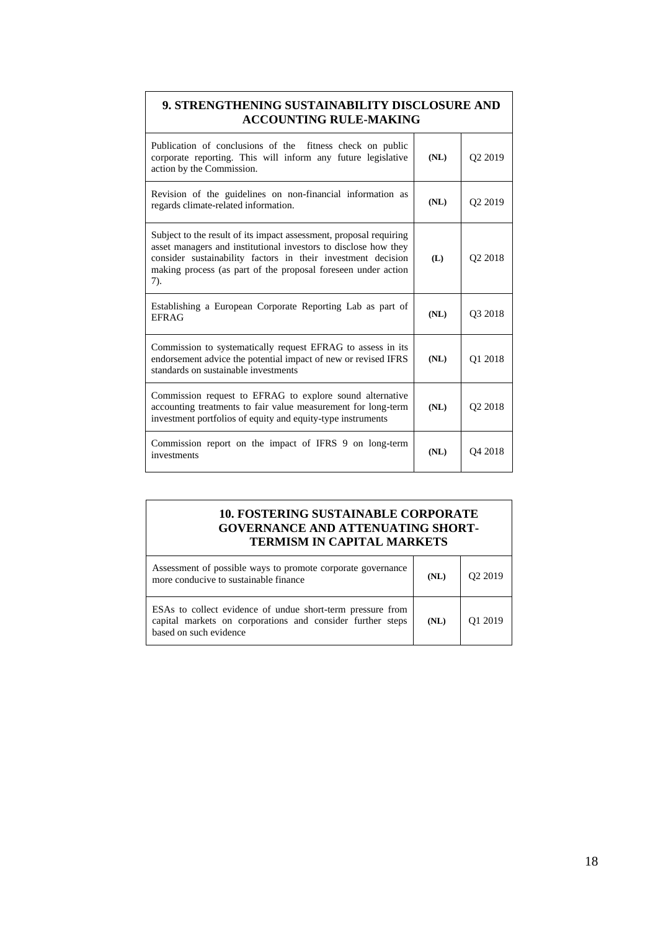| 9. STRENGTHENING SUSTAINABILITY DISCLOSURE AND<br><b>ACCOUNTING RULE-MAKING</b>                                                                                                                                                                                               |      |                     |
|-------------------------------------------------------------------------------------------------------------------------------------------------------------------------------------------------------------------------------------------------------------------------------|------|---------------------|
| Publication of conclusions of the fitness check on public<br>corporate reporting. This will inform any future legislative<br>action by the Commission.                                                                                                                        | (NL) | Q <sub>2</sub> 2019 |
| Revision of the guidelines on non-financial information as<br>regards climate-related information.                                                                                                                                                                            | (NL) | Q <sub>2</sub> 2019 |
| Subject to the result of its impact assessment, proposal requiring<br>asset managers and institutional investors to disclose how they<br>consider sustainability factors in their investment decision<br>making process (as part of the proposal foreseen under action<br>7). | (L)  | Q2 2018             |
| Establishing a European Corporate Reporting Lab as part of<br><b>EFRAG</b>                                                                                                                                                                                                    | (NL) | Q3 2018             |
| Commission to systematically request EFRAG to assess in its<br>endorsement advice the potential impact of new or revised IFRS<br>standards on sustainable investments                                                                                                         | (NL) | O1 2018             |
| Commission request to EFRAG to explore sound alternative<br>accounting treatments to fair value measurement for long-term<br>investment portfolios of equity and equity-type instruments                                                                                      | (NL) | O <sub>2</sub> 2018 |
| Commission report on the impact of IFRS 9 on long-term<br>investments                                                                                                                                                                                                         | (NL) | Q4 2018             |

#### **10. FOSTERING SUSTAINABLE CORPORATE GOVERNANCE AND ATTENUATING SHORT-TERMISM IN CAPITAL MARKETS**

| Assessment of possible ways to promote corporate governance<br>more conducive to sustainable finance                                               | (NL) | O <sub>2</sub> 2019 |
|----------------------------------------------------------------------------------------------------------------------------------------------------|------|---------------------|
| ESAs to collect evidence of undue short-term pressure from<br>capital markets on corporations and consider further steps<br>based on such evidence | (NL) | O1 2019             |